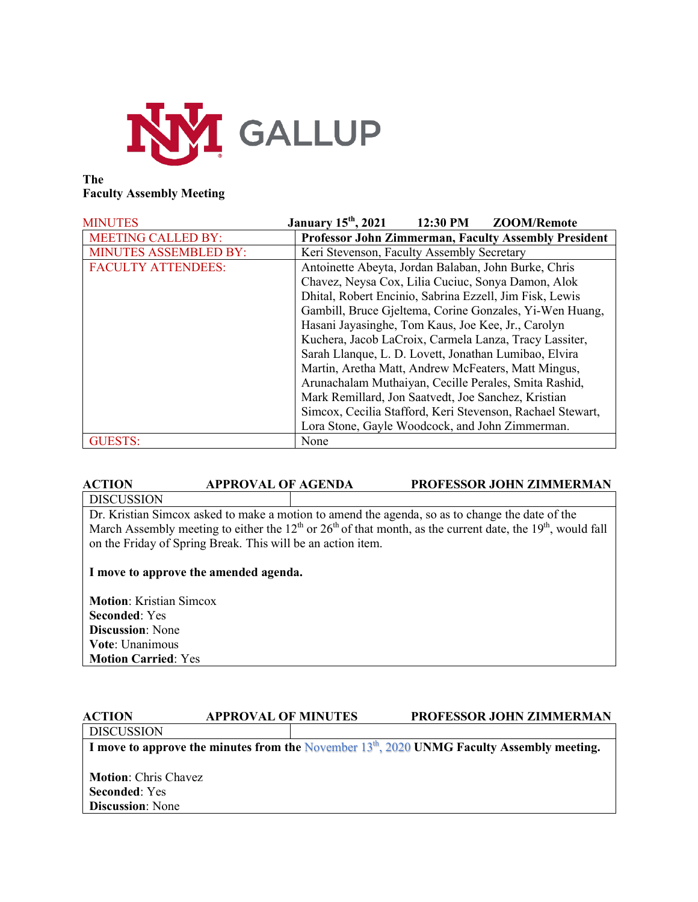

## **The Faculty Assembly Meeting**

| <b>MINUTES</b>               | <b>January 15th, 2021</b><br>12:30 PM<br>ZOOM/Remote        |  |  |
|------------------------------|-------------------------------------------------------------|--|--|
| <b>MEETING CALLED BY:</b>    | <b>Professor John Zimmerman, Faculty Assembly President</b> |  |  |
| <b>MINUTES ASSEMBLED BY:</b> | Keri Stevenson, Faculty Assembly Secretary                  |  |  |
| <b>FACULTY ATTENDEES:</b>    | Antoinette Abeyta, Jordan Balaban, John Burke, Chris        |  |  |
|                              | Chavez, Neysa Cox, Lilia Cuciuc, Sonya Damon, Alok          |  |  |
|                              | Dhital, Robert Encinio, Sabrina Ezzell, Jim Fisk, Lewis     |  |  |
|                              | Gambill, Bruce Gjeltema, Corine Gonzales, Yi-Wen Huang,     |  |  |
|                              | Hasani Jayasinghe, Tom Kaus, Joe Kee, Jr., Carolyn          |  |  |
|                              | Kuchera, Jacob LaCroix, Carmela Lanza, Tracy Lassiter,      |  |  |
|                              | Sarah Llanque, L. D. Lovett, Jonathan Lumibao, Elvira       |  |  |
|                              | Martin, Aretha Matt, Andrew McFeaters, Matt Mingus,         |  |  |
|                              | Arunachalam Muthaiyan, Cecille Perales, Smita Rashid,       |  |  |
|                              | Mark Remillard, Jon Saatvedt, Joe Sanchez, Kristian         |  |  |
|                              | Simcox, Cecilia Stafford, Keri Stevenson, Rachael Stewart,  |  |  |
|                              | Lora Stone, Gayle Woodcock, and John Zimmerman.             |  |  |
| <b>GUESTS:</b>               | None                                                        |  |  |

# **ACTION APPROVAL OF AGENDA PROFESSOR JOHN ZIMMERMAN** DISCUSSION

Dr. Kristian Simcox asked to make a motion to amend the agenda, so as to change the date of the March Assembly meeting to either the  $12^{th}$  or  $26^{th}$  of that month, as the current date, the  $19^{th}$ , would fall on the Friday of Spring Break. This will be an action item.

# **I move to approve the amended agenda.**

**Motion**: Kristian Simcox **Seconded**: Yes **Discussion**: None **Vote**: Unanimous **Motion Carried**: Yes

| <b>ACTION</b>                                                                                | <b>APPROVAL OF MINUTES</b> |  | PROFESSOR JOHN ZIMMERMAN |  |
|----------------------------------------------------------------------------------------------|----------------------------|--|--------------------------|--|
| <b>DISCUSSION</b>                                                                            |                            |  |                          |  |
| I move to approve the minutes from the November $13th$ , 2020 UNMG Faculty Assembly meeting. |                            |  |                          |  |
|                                                                                              |                            |  |                          |  |
| <b>Motion: Chris Chavez</b>                                                                  |                            |  |                          |  |
| <b>Seconded:</b> Yes                                                                         |                            |  |                          |  |
| <b>Discussion:</b> None                                                                      |                            |  |                          |  |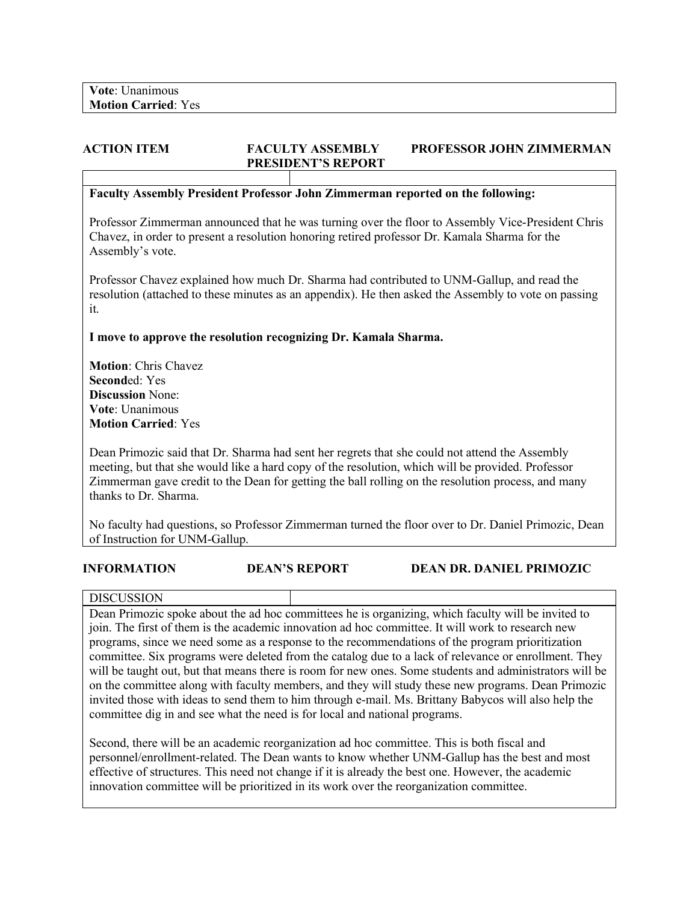# **ACTION ITEM FACULTY ASSEMBLY PROFESSOR JOHN ZIMMERMAN PRESIDENT'S REPORT**

## **Faculty Assembly President Professor John Zimmerman reported on the following:**

Professor Zimmerman announced that he was turning over the floor to Assembly Vice-President Chris Chavez, in order to present a resolution honoring retired professor Dr. Kamala Sharma for the Assembly's vote.

Professor Chavez explained how much Dr. Sharma had contributed to UNM-Gallup, and read the resolution (attached to these minutes as an appendix). He then asked the Assembly to vote on passing it.

## **I move to approve the resolution recognizing Dr. Kamala Sharma.**

**Motion**: Chris Chavez **Second**ed: Yes **Discussion** None: **Vote**: Unanimous **Motion Carried**: Yes

Dean Primozic said that Dr. Sharma had sent her regrets that she could not attend the Assembly meeting, but that she would like a hard copy of the resolution, which will be provided. Professor Zimmerman gave credit to the Dean for getting the ball rolling on the resolution process, and many thanks to Dr. Sharma.

No faculty had questions, so Professor Zimmerman turned the floor over to Dr. Daniel Primozic, Dean of Instruction for UNM-Gallup.

#### **INFORMATION DEAN'S REPORT DEAN DR. DANIEL PRIMOZIC**

## **DISCUSSION**

Dean Primozic spoke about the ad hoc committees he is organizing, which faculty will be invited to join. The first of them is the academic innovation ad hoc committee. It will work to research new programs, since we need some as a response to the recommendations of the program prioritization committee. Six programs were deleted from the catalog due to a lack of relevance or enrollment. They will be taught out, but that means there is room for new ones. Some students and administrators will be on the committee along with faculty members, and they will study these new programs. Dean Primozic invited those with ideas to send them to him through e-mail. Ms. Brittany Babycos will also help the committee dig in and see what the need is for local and national programs.

Second, there will be an academic reorganization ad hoc committee. This is both fiscal and personnel/enrollment-related. The Dean wants to know whether UNM-Gallup has the best and most effective of structures. This need not change if it is already the best one. However, the academic innovation committee will be prioritized in its work over the reorganization committee.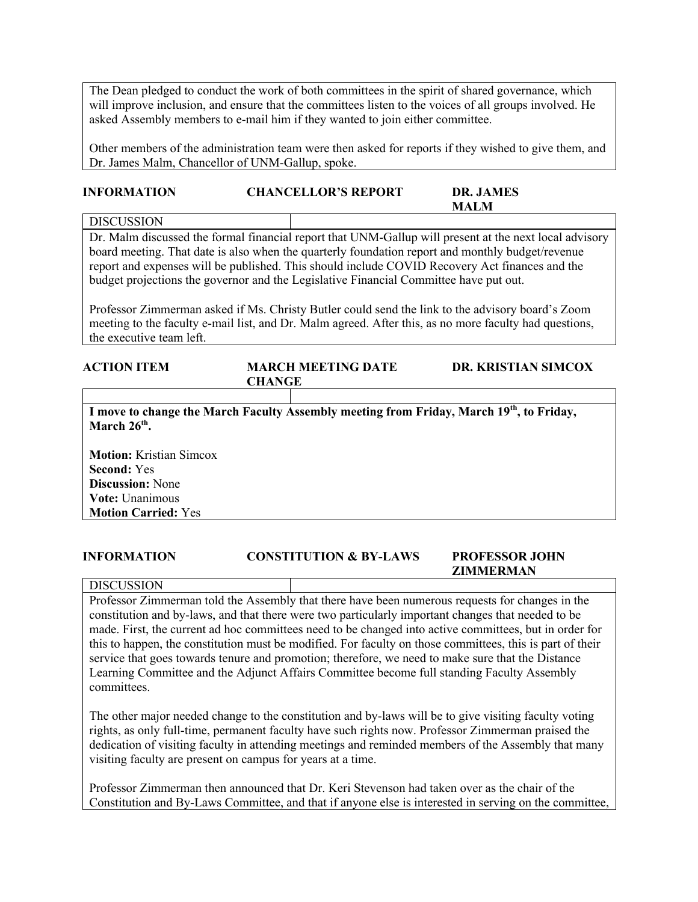The Dean pledged to conduct the work of both committees in the spirit of shared governance, which will improve inclusion, and ensure that the committees listen to the voices of all groups involved. He asked Assembly members to e-mail him if they wanted to join either committee.

Other members of the administration team were then asked for reports if they wished to give them, and Dr. James Malm, Chancellor of UNM-Gallup, spoke.

## **INFORMATION CHANCELLOR'S REPORT DR. JAMES MALM DISCUSSION**

Dr. Malm discussed the formal financial report that UNM-Gallup will present at the next local advisory board meeting. That date is also when the quarterly foundation report and monthly budget/revenue report and expenses will be published. This should include COVID Recovery Act finances and the budget projections the governor and the Legislative Financial Committee have put out.

Professor Zimmerman asked if Ms. Christy Butler could send the link to the advisory board's Zoom meeting to the faculty e-mail list, and Dr. Malm agreed. After this, as no more faculty had questions, the executive team left.

## **ACTION ITEM MARCH MEETING DATE DR. KRISTIAN SIMCOX CHANGE**

**I move to change the March Faculty Assembly meeting from Friday, March 19th, to Friday, March 26<sup>th</sup>.** 

**Motion:** Kristian Simcox **Second:** Yes **Discussion:** None **Vote:** Unanimous **Motion Carried:** Yes

## **INFORMATION CONSTITUTION & BY-LAWS PROFESSOR JOHN ZIMMERMAN**

**DISCUSSION** 

Professor Zimmerman told the Assembly that there have been numerous requests for changes in the constitution and by-laws, and that there were two particularly important changes that needed to be made. First, the current ad hoc committees need to be changed into active committees, but in order for this to happen, the constitution must be modified. For faculty on those committees, this is part of their service that goes towards tenure and promotion; therefore, we need to make sure that the Distance Learning Committee and the Adjunct Affairs Committee become full standing Faculty Assembly committees.

The other major needed change to the constitution and by-laws will be to give visiting faculty voting rights, as only full-time, permanent faculty have such rights now. Professor Zimmerman praised the dedication of visiting faculty in attending meetings and reminded members of the Assembly that many visiting faculty are present on campus for years at a time.

Professor Zimmerman then announced that Dr. Keri Stevenson had taken over as the chair of the Constitution and By-Laws Committee, and that if anyone else is interested in serving on the committee,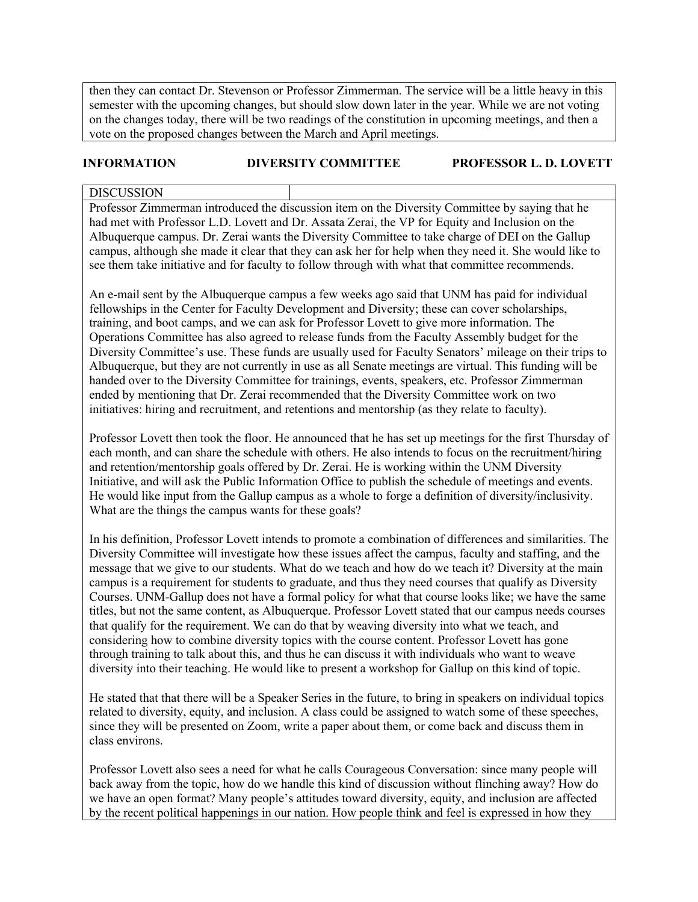then they can contact Dr. Stevenson or Professor Zimmerman. The service will be a little heavy in this semester with the upcoming changes, but should slow down later in the year. While we are not voting on the changes today, there will be two readings of the constitution in upcoming meetings, and then a vote on the proposed changes between the March and April meetings.

# **INFORMATION DIVERSITY COMMITTEE PROFESSOR L. D. LOVETT**

## **DISCUSSION**

Professor Zimmerman introduced the discussion item on the Diversity Committee by saying that he had met with Professor L.D. Lovett and Dr. Assata Zerai, the VP for Equity and Inclusion on the Albuquerque campus. Dr. Zerai wants the Diversity Committee to take charge of DEI on the Gallup campus, although she made it clear that they can ask her for help when they need it. She would like to see them take initiative and for faculty to follow through with what that committee recommends.

An e-mail sent by the Albuquerque campus a few weeks ago said that UNM has paid for individual fellowships in the Center for Faculty Development and Diversity; these can cover scholarships, training, and boot camps, and we can ask for Professor Lovett to give more information. The Operations Committee has also agreed to release funds from the Faculty Assembly budget for the Diversity Committee's use. These funds are usually used for Faculty Senators' mileage on their trips to Albuquerque, but they are not currently in use as all Senate meetings are virtual. This funding will be handed over to the Diversity Committee for trainings, events, speakers, etc. Professor Zimmerman ended by mentioning that Dr. Zerai recommended that the Diversity Committee work on two initiatives: hiring and recruitment, and retentions and mentorship (as they relate to faculty).

Professor Lovett then took the floor. He announced that he has set up meetings for the first Thursday of each month, and can share the schedule with others. He also intends to focus on the recruitment/hiring and retention/mentorship goals offered by Dr. Zerai. He is working within the UNM Diversity Initiative, and will ask the Public Information Office to publish the schedule of meetings and events. He would like input from the Gallup campus as a whole to forge a definition of diversity/inclusivity. What are the things the campus wants for these goals?

In his definition, Professor Lovett intends to promote a combination of differences and similarities. The Diversity Committee will investigate how these issues affect the campus, faculty and staffing, and the message that we give to our students. What do we teach and how do we teach it? Diversity at the main campus is a requirement for students to graduate, and thus they need courses that qualify as Diversity Courses. UNM-Gallup does not have a formal policy for what that course looks like; we have the same titles, but not the same content, as Albuquerque. Professor Lovett stated that our campus needs courses that qualify for the requirement. We can do that by weaving diversity into what we teach, and considering how to combine diversity topics with the course content. Professor Lovett has gone through training to talk about this, and thus he can discuss it with individuals who want to weave diversity into their teaching. He would like to present a workshop for Gallup on this kind of topic.

He stated that that there will be a Speaker Series in the future, to bring in speakers on individual topics related to diversity, equity, and inclusion. A class could be assigned to watch some of these speeches, since they will be presented on Zoom, write a paper about them, or come back and discuss them in class environs.

Professor Lovett also sees a need for what he calls Courageous Conversation: since many people will back away from the topic, how do we handle this kind of discussion without flinching away? How do we have an open format? Many people's attitudes toward diversity, equity, and inclusion are affected by the recent political happenings in our nation. How people think and feel is expressed in how they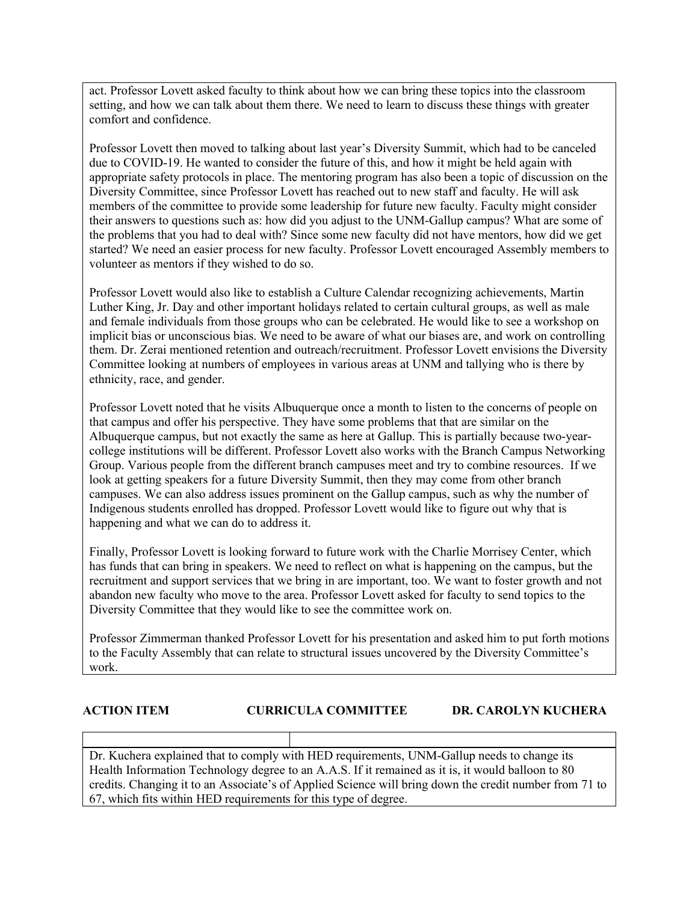act. Professor Lovett asked faculty to think about how we can bring these topics into the classroom setting, and how we can talk about them there. We need to learn to discuss these things with greater comfort and confidence.

Professor Lovett then moved to talking about last year's Diversity Summit, which had to be canceled due to COVID-19. He wanted to consider the future of this, and how it might be held again with appropriate safety protocols in place. The mentoring program has also been a topic of discussion on the Diversity Committee, since Professor Lovett has reached out to new staff and faculty. He will ask members of the committee to provide some leadership for future new faculty. Faculty might consider their answers to questions such as: how did you adjust to the UNM-Gallup campus? What are some of the problems that you had to deal with? Since some new faculty did not have mentors, how did we get started? We need an easier process for new faculty. Professor Lovett encouraged Assembly members to volunteer as mentors if they wished to do so.

Professor Lovett would also like to establish a Culture Calendar recognizing achievements, Martin Luther King, Jr. Day and other important holidays related to certain cultural groups, as well as male and female individuals from those groups who can be celebrated. He would like to see a workshop on implicit bias or unconscious bias. We need to be aware of what our biases are, and work on controlling them. Dr. Zerai mentioned retention and outreach/recruitment. Professor Lovett envisions the Diversity Committee looking at numbers of employees in various areas at UNM and tallying who is there by ethnicity, race, and gender.

Professor Lovett noted that he visits Albuquerque once a month to listen to the concerns of people on that campus and offer his perspective. They have some problems that that are similar on the Albuquerque campus, but not exactly the same as here at Gallup. This is partially because two-yearcollege institutions will be different. Professor Lovett also works with the Branch Campus Networking Group. Various people from the different branch campuses meet and try to combine resources. If we look at getting speakers for a future Diversity Summit, then they may come from other branch campuses. We can also address issues prominent on the Gallup campus, such as why the number of Indigenous students enrolled has dropped. Professor Lovett would like to figure out why that is happening and what we can do to address it.

Finally, Professor Lovett is looking forward to future work with the Charlie Morrisey Center, which has funds that can bring in speakers. We need to reflect on what is happening on the campus, but the recruitment and support services that we bring in are important, too. We want to foster growth and not abandon new faculty who move to the area. Professor Lovett asked for faculty to send topics to the Diversity Committee that they would like to see the committee work on.

Professor Zimmerman thanked Professor Lovett for his presentation and asked him to put forth motions to the Faculty Assembly that can relate to structural issues uncovered by the Diversity Committee's work.

## **ACTION ITEM CURRICULA COMMITTEE DR. CAROLYN KUCHERA**

Dr. Kuchera explained that to comply with HED requirements, UNM-Gallup needs to change its Health Information Technology degree to an A.A.S. If it remained as it is, it would balloon to 80 credits. Changing it to an Associate's of Applied Science will bring down the credit number from 71 to 67, which fits within HED requirements for this type of degree.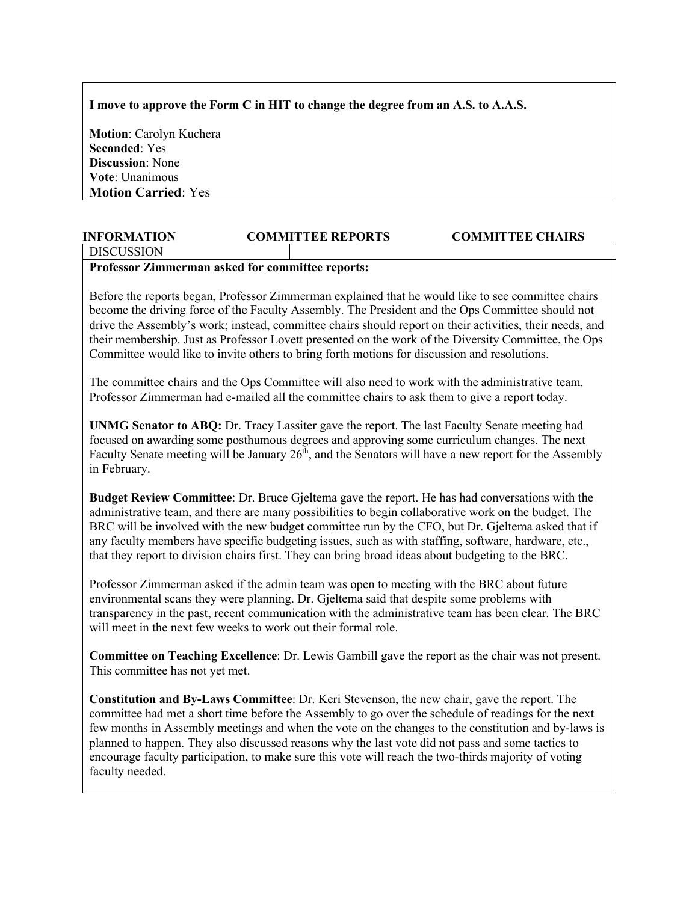## **I move to approve the Form C in HIT to change the degree from an A.S. to A.A.S.**

**Motion**: Carolyn Kuchera **Seconded**: Yes **Discussion**: None **Vote**: Unanimous **Motion Carried**: Yes

## **INFORMATION COMMITTEE REPORTS COMMITTEE CHAIRS DISCUSSION**

## **Professor Zimmerman asked for committee reports:**

Before the reports began, Professor Zimmerman explained that he would like to see committee chairs become the driving force of the Faculty Assembly. The President and the Ops Committee should not drive the Assembly's work; instead, committee chairs should report on their activities, their needs, and their membership. Just as Professor Lovett presented on the work of the Diversity Committee, the Ops Committee would like to invite others to bring forth motions for discussion and resolutions.

The committee chairs and the Ops Committee will also need to work with the administrative team. Professor Zimmerman had e-mailed all the committee chairs to ask them to give a report today.

**UNMG Senator to ABQ:** Dr. Tracy Lassiter gave the report. The last Faculty Senate meeting had focused on awarding some posthumous degrees and approving some curriculum changes. The next Faculty Senate meeting will be January  $26<sup>th</sup>$ , and the Senators will have a new report for the Assembly in February.

**Budget Review Committee**: Dr. Bruce Gjeltema gave the report. He has had conversations with the administrative team, and there are many possibilities to begin collaborative work on the budget. The BRC will be involved with the new budget committee run by the CFO, but Dr. Gjeltema asked that if any faculty members have specific budgeting issues, such as with staffing, software, hardware, etc., that they report to division chairs first. They can bring broad ideas about budgeting to the BRC.

Professor Zimmerman asked if the admin team was open to meeting with the BRC about future environmental scans they were planning. Dr. Gjeltema said that despite some problems with transparency in the past, recent communication with the administrative team has been clear. The BRC will meet in the next few weeks to work out their formal role.

**Committee on Teaching Excellence**: Dr. Lewis Gambill gave the report as the chair was not present. This committee has not yet met.

**Constitution and By-Laws Committee**: Dr. Keri Stevenson, the new chair, gave the report. The committee had met a short time before the Assembly to go over the schedule of readings for the next few months in Assembly meetings and when the vote on the changes to the constitution and by-laws is planned to happen. They also discussed reasons why the last vote did not pass and some tactics to encourage faculty participation, to make sure this vote will reach the two-thirds majority of voting faculty needed.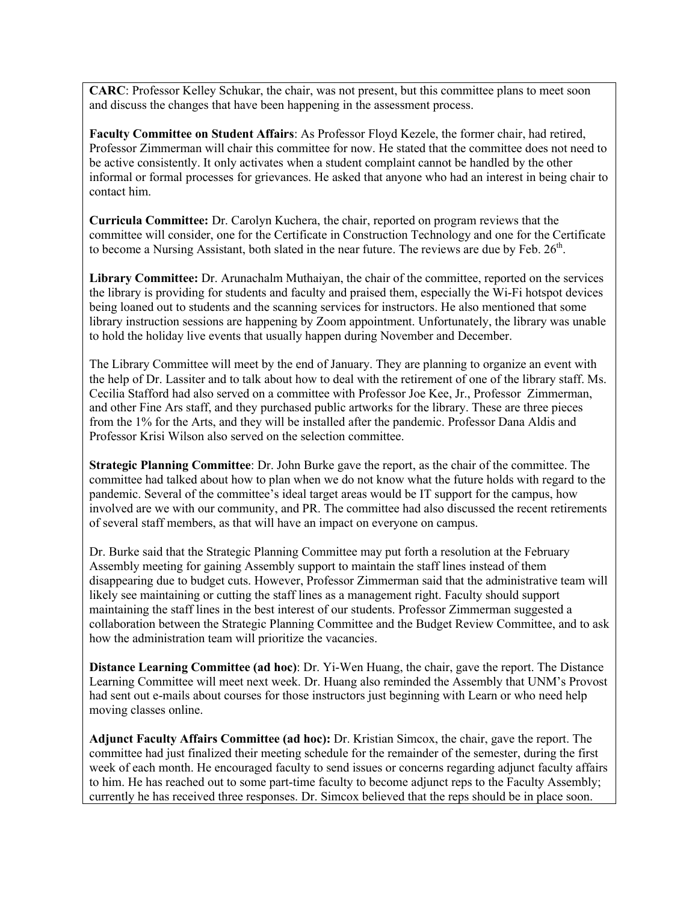**CARC**: Professor Kelley Schukar, the chair, was not present, but this committee plans to meet soon and discuss the changes that have been happening in the assessment process.

**Faculty Committee on Student Affairs**: As Professor Floyd Kezele, the former chair, had retired, Professor Zimmerman will chair this committee for now. He stated that the committee does not need to be active consistently. It only activates when a student complaint cannot be handled by the other informal or formal processes for grievances. He asked that anyone who had an interest in being chair to contact him.

**Curricula Committee:** Dr. Carolyn Kuchera, the chair, reported on program reviews that the committee will consider, one for the Certificate in Construction Technology and one for the Certificate to become a Nursing Assistant, both slated in the near future. The reviews are due by Feb.  $26<sup>th</sup>$ .

**Library Committee:** Dr. Arunachalm Muthaiyan, the chair of the committee, reported on the services the library is providing for students and faculty and praised them, especially the Wi-Fi hotspot devices being loaned out to students and the scanning services for instructors. He also mentioned that some library instruction sessions are happening by Zoom appointment. Unfortunately, the library was unable to hold the holiday live events that usually happen during November and December.

The Library Committee will meet by the end of January. They are planning to organize an event with the help of Dr. Lassiter and to talk about how to deal with the retirement of one of the library staff. Ms. Cecilia Stafford had also served on a committee with Professor Joe Kee, Jr., Professor Zimmerman, and other Fine Ars staff, and they purchased public artworks for the library. These are three pieces from the 1% for the Arts, and they will be installed after the pandemic. Professor Dana Aldis and Professor Krisi Wilson also served on the selection committee.

**Strategic Planning Committee**: Dr. John Burke gave the report, as the chair of the committee. The committee had talked about how to plan when we do not know what the future holds with regard to the pandemic. Several of the committee's ideal target areas would be IT support for the campus, how involved are we with our community, and PR. The committee had also discussed the recent retirements of several staff members, as that will have an impact on everyone on campus.

Dr. Burke said that the Strategic Planning Committee may put forth a resolution at the February Assembly meeting for gaining Assembly support to maintain the staff lines instead of them disappearing due to budget cuts. However, Professor Zimmerman said that the administrative team will likely see maintaining or cutting the staff lines as a management right. Faculty should support maintaining the staff lines in the best interest of our students. Professor Zimmerman suggested a collaboration between the Strategic Planning Committee and the Budget Review Committee, and to ask how the administration team will prioritize the vacancies.

**Distance Learning Committee (ad hoc)**: Dr. Yi-Wen Huang, the chair, gave the report. The Distance Learning Committee will meet next week. Dr. Huang also reminded the Assembly that UNM's Provost had sent out e-mails about courses for those instructors just beginning with Learn or who need help moving classes online.

**Adjunct Faculty Affairs Committee (ad hoc):** Dr. Kristian Simcox, the chair, gave the report. The committee had just finalized their meeting schedule for the remainder of the semester, during the first week of each month. He encouraged faculty to send issues or concerns regarding adjunct faculty affairs to him. He has reached out to some part-time faculty to become adjunct reps to the Faculty Assembly; currently he has received three responses. Dr. Simcox believed that the reps should be in place soon.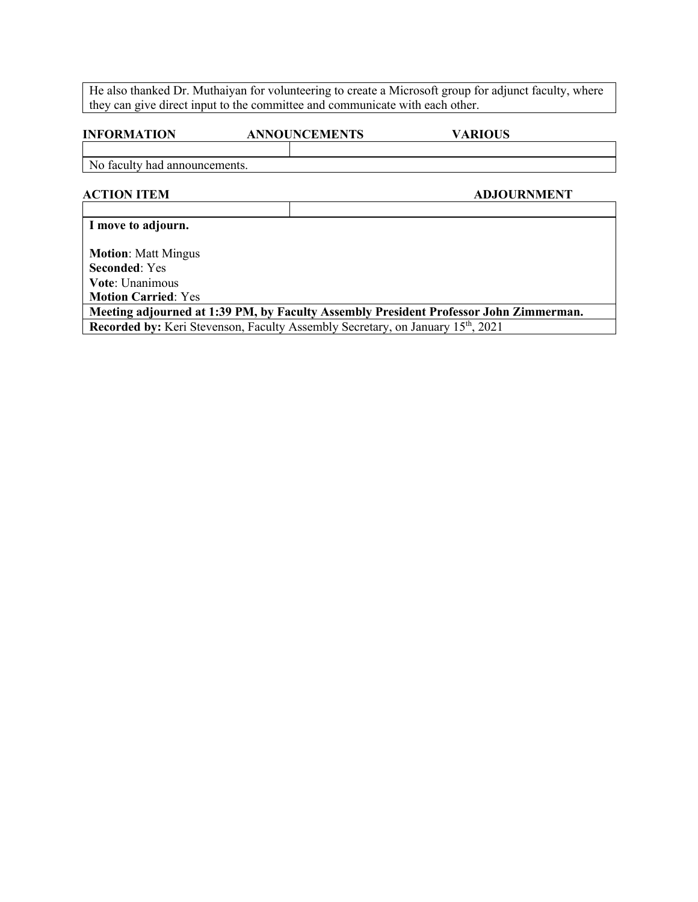He also thanked Dr. Muthaiyan for volunteering to create a Microsoft group for adjunct faculty, where they can give direct input to the committee and communicate with each other.

#### **INFORMATION ANNOUNCEMENTS VARIOUS**

No faculty had announcements.

**ACTION ITEM ADJOURNMENT**

**I move to adjourn.**

**Motion**: Matt Mingus **Seconded**: Yes **Vote**: Unanimous **Motion Carried**: Yes **Meeting adjourned at 1:39 PM, by Faculty Assembly President Professor John Zimmerman. Recorded by:** Keri Stevenson, Faculty Assembly Secretary, on January 15<sup>th</sup>, 2021